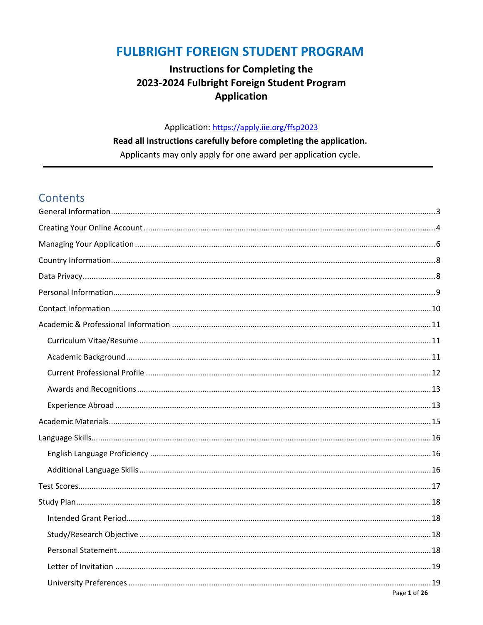### **FULBRIGHT FOREIGN STUDENT PROGRAM**

### **Instructions for Completing the** 2023-2024 Fulbright Foreign Student Program **Application**

### Application: https://apply.iie.org/ffsp2023

### Read all instructions carefully before completing the application.

Applicants may only apply for one award per application cycle.

### **Contents**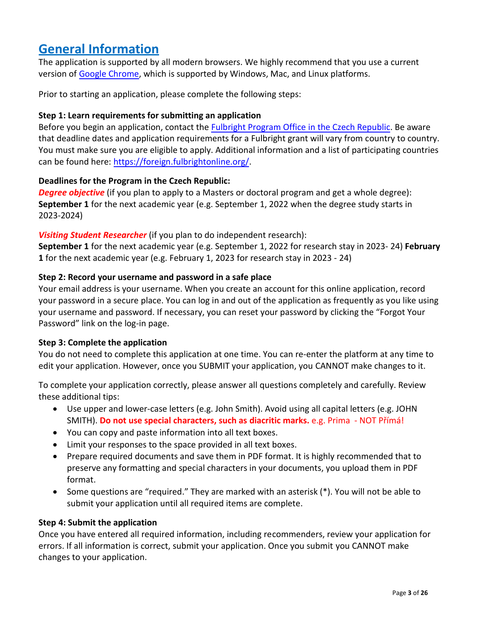### <span id="page-2-0"></span>**General Information**

The application is supported by all modern browsers. We highly recommend that you use a current version of [Google Chrome,](https://www.google.com/chrome/) which is supported by Windows, Mac, and Linux platforms.

Prior to starting an application, please complete the following steps:

#### **Step 1: Learn requirements for submitting an application**

Before you begin an application, contact the [Fulbright Program Office in the Czech Republic.](https://www.fulbright.cz/kontakt/prazska-kancelar/) Be aware that deadline dates and application requirements for a Fulbright grant will vary from country to country. You must make sure you are eligible to apply. Additional information and a list of participating countries can be found here[: https://foreign.fulbrightonline.org/.](https://foreign.fulbrightonline.org/) 

#### **Deadlines for the Program in the Czech Republic:**

**Degree objective** (if you plan to apply to a Masters or doctoral program and get a whole degree): **September 1** for the next academic year (e.g. September 1, 2022 when the degree study starts in 2023-2024)

#### *Visiting Student Researcher* (if you plan to do independent research):

**September 1** for the next academic year (e.g. September 1, 2022 for research stay in 2023- 24) **February 1** for the next academic year (e.g. February 1, 2023 for research stay in 2023 - 24)

#### **Step 2: Record your username and password in a safe place**

Your email address is your username. When you create an account for this online application, record your password in a secure place. You can log in and out of the application as frequently as you like using your username and password. If necessary, you can reset your password by clicking the "Forgot Your Password" link on the log-in page.

#### **Step 3: Complete the application**

You do not need to complete this application at one time. You can re-enter the platform at any time to edit your application. However, once you SUBMIT your application, you CANNOT make changes to it.

To complete your application correctly, please answer all questions completely and carefully. Review these additional tips:

- Use upper and lower-case letters (e.g. John Smith). Avoid using all capital letters (e.g. JOHN SMITH). **Do not use special characters, such as diacritic marks.** e.g. Prima - NOT Přímá!
- You can copy and paste information into all text boxes.
- Limit your responses to the space provided in all text boxes.
- Prepare required documents and save them in PDF format. It is highly recommended that to preserve any formatting and special characters in your documents, you upload them in PDF format.
- Some questions are "required." They are marked with an asterisk (\*). You will not be able to submit your application until all required items are complete.

#### **Step 4: Submit the application**

Once you have entered all required information, including recommenders, review your application for errors. If all information is correct, submit your application. Once you submit you CANNOT make changes to your application.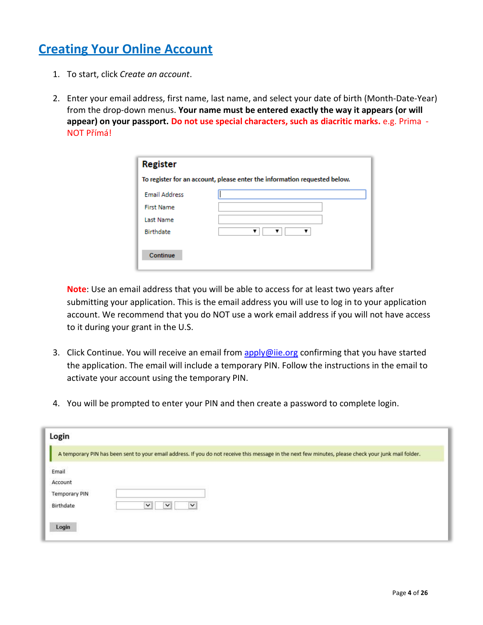## <span id="page-3-0"></span>**Creating Your Online Account**

- 1. To start, click *Create an account*.
- 2. Enter your email address, first name, last name, and select your date of birth (Month-Date-Year) from the drop-down menus. **Your name must be entered exactly the way it appears (or will appear) on your passport. Do not use special characters, such as diacritic marks.** e.g. Prima - NOT Přímá!

| To register for an account, please enter the information requested below. |  |  |  |
|---------------------------------------------------------------------------|--|--|--|
|                                                                           |  |  |  |
|                                                                           |  |  |  |
|                                                                           |  |  |  |
|                                                                           |  |  |  |
|                                                                           |  |  |  |
|                                                                           |  |  |  |
|                                                                           |  |  |  |

**Note**: Use an email address that you will be able to access for at least two years after submitting your application. This is the email address you will use to log in to your application account. We recommend that you do NOT use a work email address if you will not have access to it during your grant in the U.S.

- 3. Click Continue. You will receive an email from [apply@iie.org](mailto:apply@iie.org) confirming that you have started the application. The email will include a temporary PIN. Follow the instructions in the email to activate your account using the temporary PIN.
- 4. You will be prompted to enter your PIN and then create a password to complete login.

| Login                                                 |                                                                                                                                                      |
|-------------------------------------------------------|------------------------------------------------------------------------------------------------------------------------------------------------------|
|                                                       | A temporary PIN has been sent to your email address. If you do not receive this message in the next few minutes, please check your junk mail folder. |
| Email<br>Account<br><b>Temporary PIN</b><br>Birthdate | $\check{~}$<br>$\check{ }$<br>$\checkmark$                                                                                                           |
| Login                                                 |                                                                                                                                                      |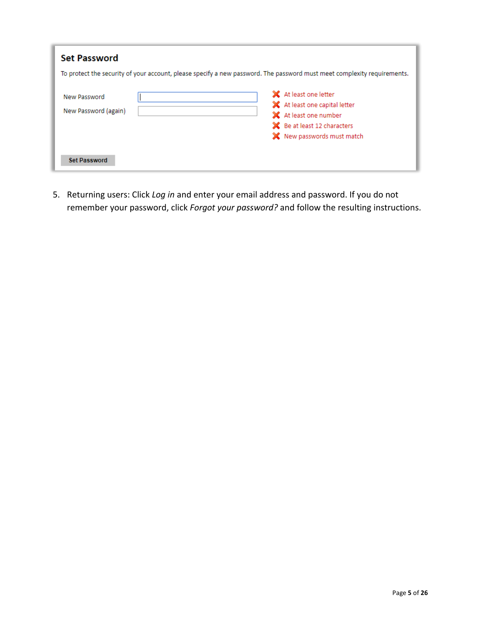| <b>Set Password</b>                  |                                                                                                                                                  |
|--------------------------------------|--------------------------------------------------------------------------------------------------------------------------------------------------|
|                                      | To protect the security of your account, please specify a new password. The password must meet complexity requirements.                          |
| New Password<br>New Password (again) | X At least one letter<br>X At least one capital letter<br>X At least one number<br>State Be at least 12 characters<br>X New passwords must match |
| <b>Set Password</b>                  |                                                                                                                                                  |

5. Returning users: Click *Log in* and enter your email address and password. If you do not remember your password, click *Forgot your password?* and follow the resulting instructions.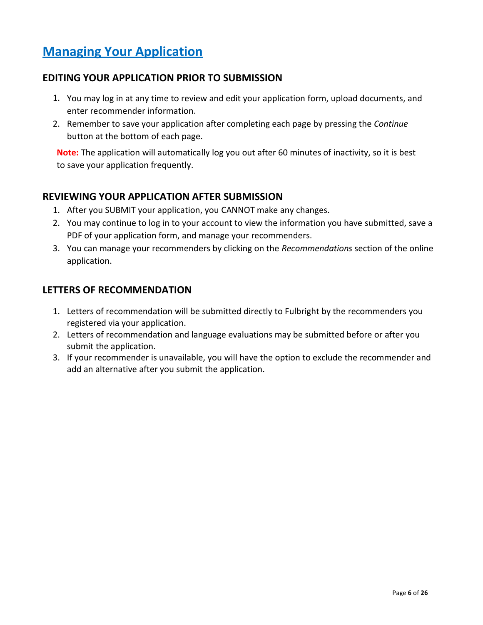## <span id="page-5-0"></span>**Managing Your Application**

### **EDITING YOUR APPLICATION PRIOR TO SUBMISSION**

- 1. You may log in at any time to review and edit your application form, upload documents, and enter recommender information.
- 2. Remember to save your application after completing each page by pressing the *Continue* button at the bottom of each page.

**Note:** The application will automatically log you out after 60 minutes of inactivity, so it is best to save your application frequently.

### **REVIEWING YOUR APPLICATION AFTER SUBMISSION**

- 1. After you SUBMIT your application, you CANNOT make any changes.
- 2. You may continue to log in to your account to view the information you have submitted, save a PDF of your application form, and manage your recommenders.
- 3. You can manage your recommenders by clicking on the *Recommendations* section of the online application.

### **LETTERS OF RECOMMENDATION**

- 1. Letters of recommendation will be submitted directly to Fulbright by the recommenders you registered via your application.
- 2. Letters of recommendation and language evaluations may be submitted before or after you submit the application.
- 3. If your recommender is unavailable, you will have the option to exclude the recommender and add an alternative after you submit the application.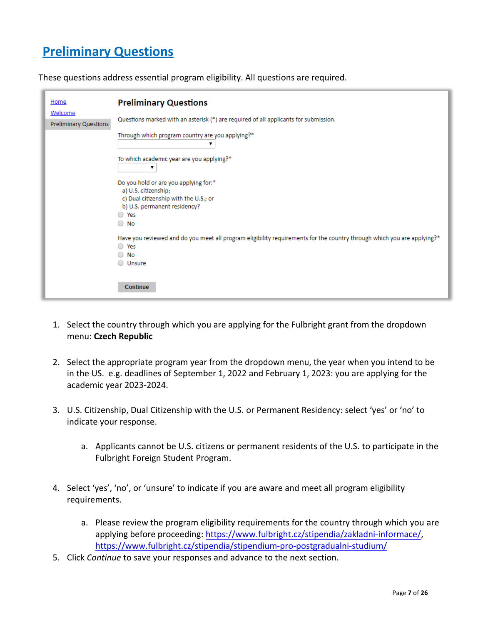# **Preliminary Questions**

These questions address essential program eligibility. All questions are required.

| Home                             | <b>Preliminary Questions</b>                                                                                                                                   |
|----------------------------------|----------------------------------------------------------------------------------------------------------------------------------------------------------------|
| Welcome<br>Preliminary Questions | Questions marked with an asterisk (*) are required of all applicants for submission.                                                                           |
|                                  | Through which program country are you applying?*                                                                                                               |
|                                  | To which academic year are you applying?*<br>▼                                                                                                                 |
|                                  | Do you hold or are you applying for:*<br>a) U.S. citizenship;<br>c) Dual citizenship with the U.S.; or<br>b) U.S. permanent residency?                         |
|                                  | ○ Yes<br>No<br>0                                                                                                                                               |
|                                  | Have you reviewed and do you meet all program eligibility requirements for the country through which you are applying?*<br>○ Yes<br>No<br>$\bigcirc$<br>Unsure |
|                                  | Continue                                                                                                                                                       |

- 1. Select the country through which you are applying for the Fulbright grant from the dropdown menu: **Czech Republic**
- 2. Select the appropriate program year from the dropdown menu, the year when you intend to be in the US. e.g. deadlines of September 1, 2022 and February 1, 2023: you are applying for the academic year 2023-2024.
- 3. U.S. Citizenship, Dual Citizenship with the U.S. or Permanent Residency: select 'yes' or 'no' to indicate your response.
	- a. Applicants cannot be U.S. citizens or permanent residents of the U.S. to participate in the Fulbright Foreign Student Program.
- 4. Select 'yes', 'no', or 'unsure' to indicate if you are aware and meet all program eligibility requirements.
	- a. Please review the program eligibility requirements for the country through which you are applying before proceeding[: https://www.fulbright.cz/stipendia/zakladni-informace/,](https://www.fulbright.cz/stipendia/zakladni-informace/) <https://www.fulbright.cz/stipendia/stipendium-pro-postgradualni-studium/>
- 5. Click *Continue* to save your responses and advance to the next section.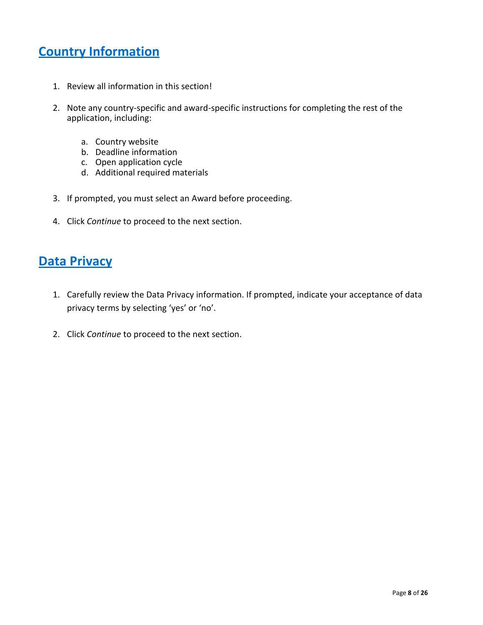# <span id="page-7-0"></span>**Country Information**

- 1. Review all information in this section!
- 2. Note any country-specific and award-specific instructions for completing the rest of the application, including:
	- a. Country website
	- b. Deadline information
	- c. Open application cycle
	- d. Additional required materials
- 3. If prompted, you must select an Award before proceeding.
- 4. Click *Continue* to proceed to the next section.

### <span id="page-7-1"></span>**Data Privacy**

- 1. Carefully review the Data Privacy information. If prompted, indicate your acceptance of data privacy terms by selecting 'yes' or 'no'.
- 2. Click *Continue* to proceed to the next section.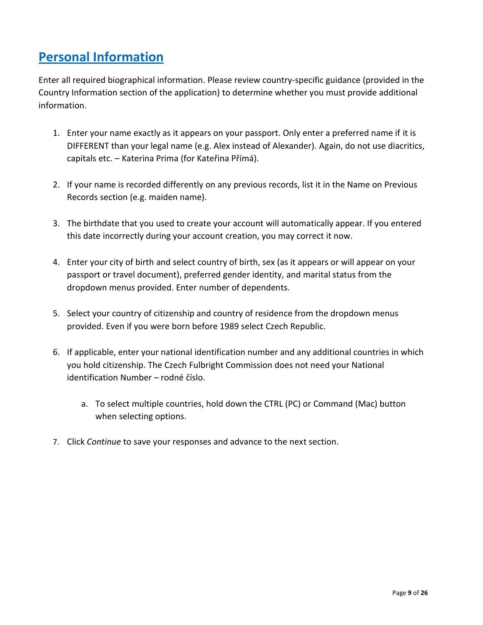# <span id="page-8-0"></span>**Personal Information**

Enter all required biographical information. Please review country-specific guidance (provided in the Country Information section of the application) to determine whether you must provide additional information.

- 1. Enter your name exactly as it appears on your passport. Only enter a preferred name if it is DIFFERENT than your legal name (e.g. Alex instead of Alexander). Again, do not use diacritics, capitals etc. – Katerina Prima (for Kateřina Přímá).
- 2. If your name is recorded differently on any previous records, list it in the Name on Previous Records section (e.g. maiden name).
- 3. The birthdate that you used to create your account will automatically appear. If you entered this date incorrectly during your account creation, you may correct it now.
- 4. Enter your city of birth and select country of birth, sex (as it appears or will appear on your passport or travel document), preferred gender identity, and marital status from the dropdown menus provided. Enter number of dependents.
- 5. Select your country of citizenship and country of residence from the dropdown menus provided. Even if you were born before 1989 select Czech Republic.
- 6. If applicable, enter your national identification number and any additional countries in which you hold citizenship. The Czech Fulbright Commission does not need your National identification Number – rodné číslo.
	- a. To select multiple countries, hold down the CTRL (PC) or Command (Mac) button when selecting options.
- 7. Click *Continue* to save your responses and advance to the next section.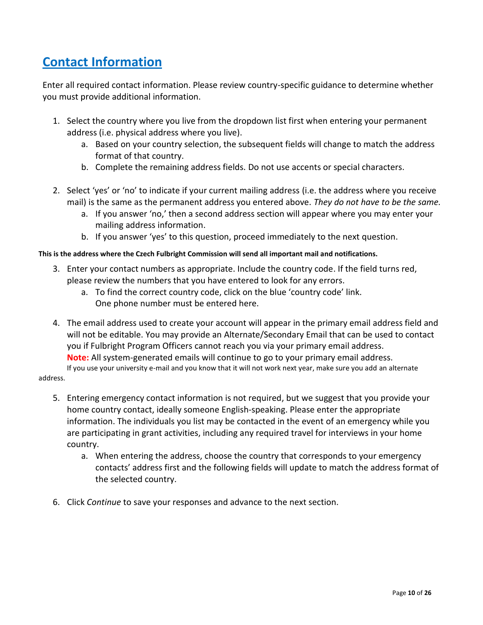# <span id="page-9-0"></span>**Contact Information**

Enter all required contact information. Please review country-specific guidance to determine whether you must provide additional information.

- 1. Select the country where you live from the dropdown list first when entering your permanent address (i.e. physical address where you live).
	- a. Based on your country selection, the subsequent fields will change to match the address format of that country.
	- b. Complete the remaining address fields. Do not use accents or special characters.
- 2. Select 'yes' or 'no' to indicate if your current mailing address (i.e. the address where you receive mail) is the same as the permanent address you entered above. *They do not have to be the same.*
	- a. If you answer 'no,' then a second address section will appear where you may enter your mailing address information.
	- b. If you answer 'yes' to this question, proceed immediately to the next question.

#### **This is the address where the Czech Fulbright Commission will send all important mail and notifications.**

- 3. Enter your contact numbers as appropriate. Include the country code. If the field turns red, please review the numbers that you have entered to look for any errors.
	- a. To find the correct country code, click on the blue 'country code' link. One phone number must be entered here.
- 4. The email address used to create your account will appear in the primary email address field and will not be editable. You may provide an Alternate/Secondary Email that can be used to contact you if Fulbright Program Officers cannot reach you via your primary email address. **Note:** All system-generated emails will continue to go to your primary email address.

If you use your university e-mail and you know that it will not work next year, make sure you add an alternate address.

- 5. Entering emergency contact information is not required, but we suggest that you provide your home country contact, ideally someone English-speaking. Please enter the appropriate information. The individuals you list may be contacted in the event of an emergency while you are participating in grant activities, including any required travel for interviews in your home country.
	- a. When entering the address, choose the country that corresponds to your emergency contacts' address first and the following fields will update to match the address format of the selected country.
- 6. Click *Continue* to save your responses and advance to the next section.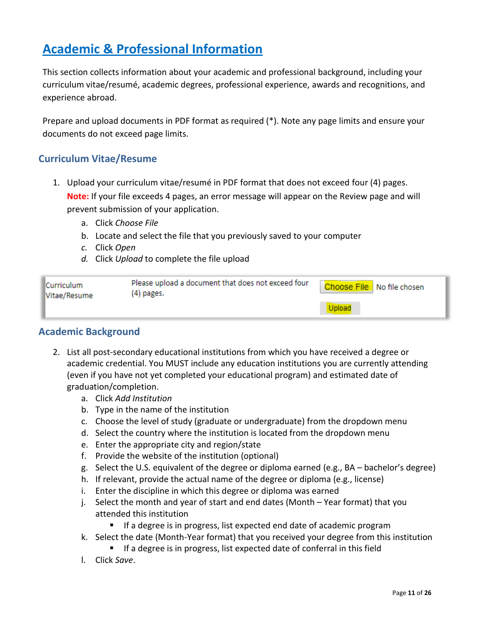# <span id="page-10-0"></span>**Academic & Professional Information**

This section collects information about your academic and professional background, including your curriculum vitae/resumé, academic degrees, professional experience, awards and recognitions, and experience abroad.

Prepare and upload documents in PDF format as required (\*). Note any page limits and ensure your documents do not exceed page limits.

### <span id="page-10-1"></span>**Curriculum Vitae/Resume**

- 1. Upload your curriculum vitae/resumé in PDF format that does not exceed four (4) pages. **Note:** If your file exceeds 4 pages, an error message will appear on the Review page and will prevent submission of your application.
	- a. Click *Choose File*
	- b. Locate and select the file that you previously saved to your computer
	- *c.* Click *Open*
	- *d.* Click *Upload* to complete the file upload

| <b>Curriculum</b><br>Vitae/Resume | Please upload a document that does not exceed four<br>(4) pages. | Choose File No file chosen |
|-----------------------------------|------------------------------------------------------------------|----------------------------|
|                                   |                                                                  |                            |

#### <span id="page-10-2"></span>**Academic Background**

- 2. List all post-secondary educational institutions from which you have received a degree or academic credential. You MUST include any education institutions you are currently attending (even if you have not yet completed your educational program) and estimated date of graduation/completion.
	- a. Click *Add Institution*
	- b. Type in the name of the institution
	- c. Choose the level of study (graduate or undergraduate) from the dropdown menu
	- d. Select the country where the institution is located from the dropdown menu
	- e. Enter the appropriate city and region/state
	- f. Provide the website of the institution (optional)
	- g. Select the U.S. equivalent of the degree or diploma earned (e.g., BA bachelor's degree)
	- h. If relevant, provide the actual name of the degree or diploma (e.g., license)
	- i. Enter the discipline in which this degree or diploma was earned
	- j. Select the month and year of start and end dates (Month Year format) that you attended this institution
		- If a degree is in progress, list expected end date of academic program
	- k. Select the date (Month-Year format) that you received your degree from this institution
		- If a degree is in progress, list expected date of conferral in this field
	- l. Click *Save*.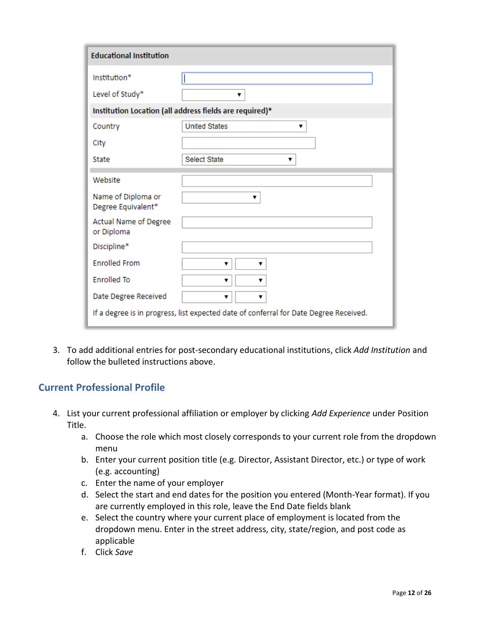| <b>Educational Institution</b>                                                        |                                                         |  |
|---------------------------------------------------------------------------------------|---------------------------------------------------------|--|
| Institution*                                                                          |                                                         |  |
| Level of Study*                                                                       | v                                                       |  |
|                                                                                       | Institution Location (all address fields are required)* |  |
| Country                                                                               | <b>United States</b><br>▼                               |  |
| City                                                                                  |                                                         |  |
| State                                                                                 | <b>Select State</b><br>▼                                |  |
|                                                                                       |                                                         |  |
| Website                                                                               |                                                         |  |
| Name of Diploma or<br>Degree Equivalent*                                              | ▼                                                       |  |
| Actual Name of Degree<br>or Diploma                                                   |                                                         |  |
| Discipline*                                                                           |                                                         |  |
| <b>Enrolled From</b>                                                                  | ▼<br>v                                                  |  |
| <b>Enrolled To</b>                                                                    | ▼<br>▼                                                  |  |
| Date Degree Received                                                                  | 7<br>7                                                  |  |
| If a degree is in progress, list expected date of conferral for Date Degree Received. |                                                         |  |

3. To add additional entries for post-secondary educational institutions, click *Add Institution* and follow the bulleted instructions above.

### <span id="page-11-0"></span>**Current Professional Profile**

- 4. List your current professional affiliation or employer by clicking *Add Experience* under Position Title.
	- a. Choose the role which most closely corresponds to your current role from the dropdown menu
	- b. Enter your current position title (e.g. Director, Assistant Director, etc.) or type of work (e.g. accounting)
	- c. Enter the name of your employer
	- d. Select the start and end dates for the position you entered (Month-Year format). If you are currently employed in this role, leave the End Date fields blank
	- e. Select the country where your current place of employment is located from the dropdown menu. Enter in the street address, city, state/region, and post code as applicable
	- f. Click *Save*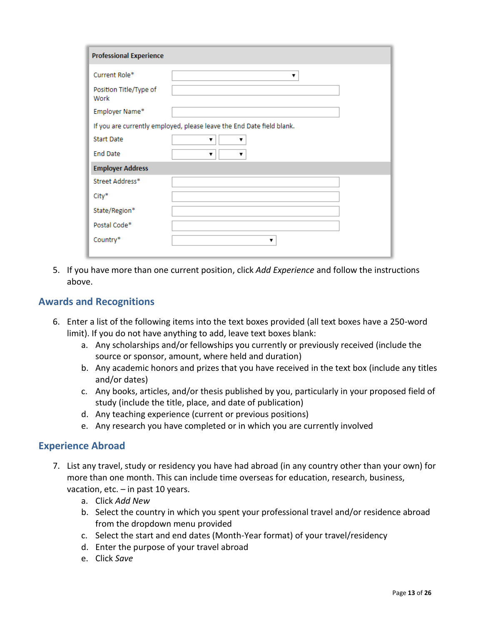| <b>Professional Experience</b> |                                                                       |
|--------------------------------|-----------------------------------------------------------------------|
| Current Role*                  | 7                                                                     |
| Position Title/Type of<br>Work |                                                                       |
| Employer Name*                 |                                                                       |
|                                | If you are currently employed, please leave the End Date field blank. |
| <b>Start Date</b>              | ۷.<br>▼                                                               |
| <b>End Date</b>                | v                                                                     |
| <b>Employer Address</b>        |                                                                       |
| Street Address*                |                                                                       |
| City*                          |                                                                       |
| State/Region*                  |                                                                       |
| Postal Code*                   |                                                                       |
| Country*                       |                                                                       |
|                                |                                                                       |

5. If you have more than one current position, click *Add Experience* and follow the instructions above.

#### <span id="page-12-0"></span>**Awards and Recognitions**

- 6. Enter a list of the following items into the text boxes provided (all text boxes have a 250-word limit). If you do not have anything to add, leave text boxes blank:
	- a. Any scholarships and/or fellowships you currently or previously received (include the source or sponsor, amount, where held and duration)
	- b. Any academic honors and prizes that you have received in the text box (include any titles and/or dates)
	- c. Any books, articles, and/or thesis published by you, particularly in your proposed field of study (include the title, place, and date of publication)
	- d. Any teaching experience (current or previous positions)
	- e. Any research you have completed or in which you are currently involved

#### <span id="page-12-1"></span>**Experience Abroad**

- 7. List any travel, study or residency you have had abroad (in any country other than your own) for more than one month. This can include time overseas for education, research, business, vacation, etc.  $-$  in past 10 years.
	- a. Click *Add New*
	- b. Select the country in which you spent your professional travel and/or residence abroad from the dropdown menu provided
	- c. Select the start and end dates (Month-Year format) of your travel/residency
	- d. Enter the purpose of your travel abroad
	- e. Click *Save*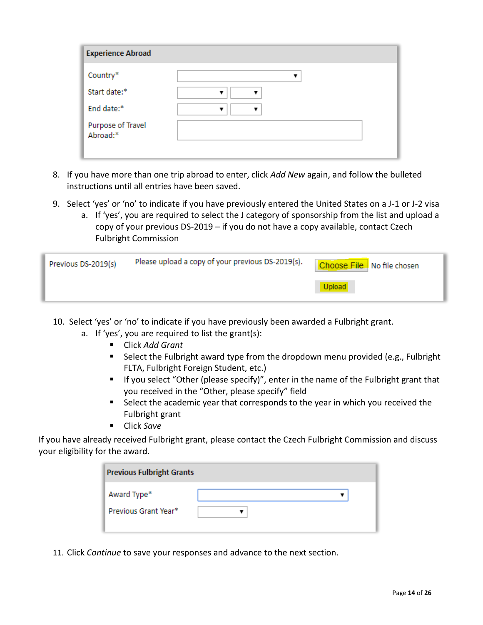| <b>Experience Abroad</b>      |  |
|-------------------------------|--|
| Country*                      |  |
| Start date:*                  |  |
| End date:*                    |  |
| Purpose of Travel<br>Abroad:* |  |

- 8. If you have more than one trip abroad to enter, click *Add New* again, and follow the bulleted instructions until all entries have been saved.
- 9. Select 'yes' or 'no' to indicate if you have previously entered the United States on a J-1 or J-2 visa
	- a. If 'yes', you are required to select the J category of sponsorship from the list and upload a copy of your previous DS-2019 – if you do not have a copy available, contact Czech Fulbright Commission

| Previous DS-2019(s) | Please upload a copy of your previous DS-2019(s). | Choose File No file chosen |
|---------------------|---------------------------------------------------|----------------------------|
|                     |                                                   |                            |

- 10. Select 'yes' or 'no' to indicate if you have previously been awarded a Fulbright grant.
	- a. If 'yes', you are required to list the grant(s):
		- Click *Add Grant*
		- Select the Fulbright award type from the dropdown menu provided (e.g., Fulbright FLTA, Fulbright Foreign Student, etc.)
		- **If you select "Other (please specify)", enter in the name of the Fulbright grant that** you received in the "Other, please specify" field
		- Select the academic year that corresponds to the year in which you received the Fulbright grant
		- Click *Save*

If you have already received Fulbright grant, please contact the Czech Fulbright Commission and discuss your eligibility for the award.

| <b>Previous Fulbright Grants</b>    |  |
|-------------------------------------|--|
| Award Type*<br>Previous Grant Year* |  |

11. Click *Continue* to save your responses and advance to the next section.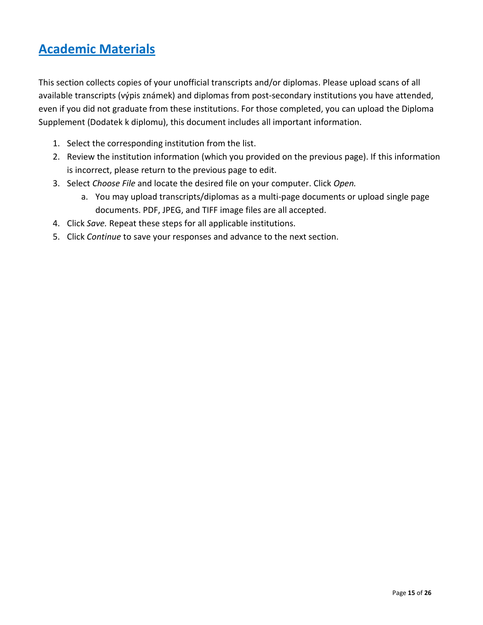# <span id="page-14-0"></span>**Academic Materials**

This section collects copies of your unofficial transcripts and/or diplomas. Please upload scans of all available transcripts (výpis známek) and diplomas from post-secondary institutions you have attended, even if you did not graduate from these institutions. For those completed, you can upload the Diploma Supplement (Dodatek k diplomu), this document includes all important information.

- 1. Select the corresponding institution from the list.
- 2. Review the institution information (which you provided on the previous page). If this information is incorrect, please return to the previous page to edit.
- 3. Select *Choose File* and locate the desired file on your computer. Click *Open.*
	- a. You may upload transcripts/diplomas as a multi-page documents or upload single page documents. PDF, JPEG, and TIFF image files are all accepted.
- 4. Click *Save.* Repeat these steps for all applicable institutions.
- 5. Click *Continue* to save your responses and advance to the next section.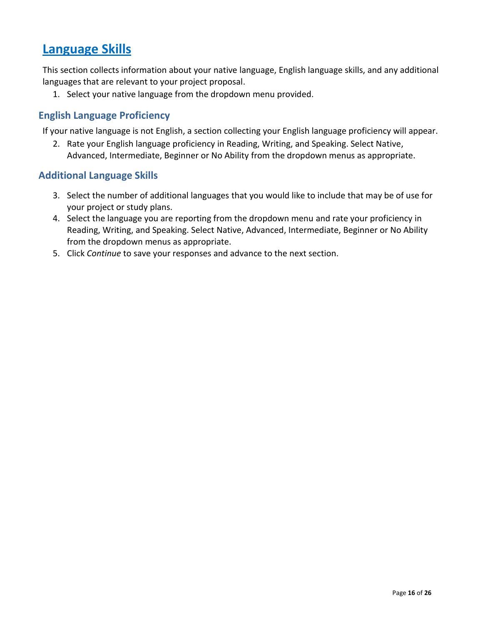## <span id="page-15-0"></span>**Language Skills**

This section collects information about your native language, English language skills, and any additional languages that are relevant to your project proposal.

1. Select your native language from the dropdown menu provided.

### <span id="page-15-1"></span>**English Language Proficiency**

If your native language is not English, a section collecting your English language proficiency will appear.

2. Rate your English language proficiency in Reading, Writing, and Speaking. Select Native, Advanced, Intermediate, Beginner or No Ability from the dropdown menus as appropriate.

#### <span id="page-15-2"></span>**Additional Language Skills**

- 3. Select the number of additional languages that you would like to include that may be of use for your project or study plans.
- 4. Select the language you are reporting from the dropdown menu and rate your proficiency in Reading, Writing, and Speaking. Select Native, Advanced, Intermediate, Beginner or No Ability from the dropdown menus as appropriate.
- <span id="page-15-3"></span>5. Click *Continue* to save your responses and advance to the next section.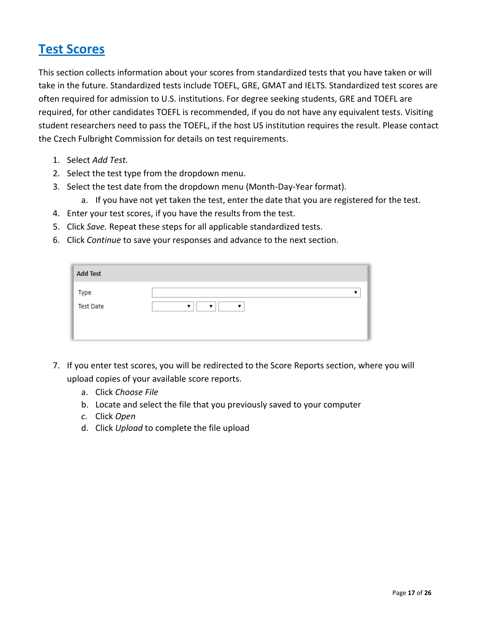## **Test Scores**

This section collects information about your scores from standardized tests that you have taken or will take in the future. Standardized tests include TOEFL, GRE, GMAT and IELTS. Standardized test scores are often required for admission to U.S. institutions. For degree seeking students, GRE and TOEFL are required, for other candidates TOEFL is recommended, if you do not have any equivalent tests. Visiting student researchers need to pass the TOEFL, if the host US institution requires the result. Please contact the Czech Fulbright Commission for details on test requirements.

- 1. Select *Add Test.*
- 2. Select the test type from the dropdown menu.
- 3. Select the test date from the dropdown menu (Month-Day-Year format).
	- a. If you have not yet taken the test, enter the date that you are registered for the test.
- 4. Enter your test scores, if you have the results from the test.
- 5. Click *Save.* Repeat these steps for all applicable standardized tests.
- 6. Click *Continue* to save your responses and advance to the next section.

| <b>Add Test</b>          |                                    |
|--------------------------|------------------------------------|
| Type<br><b>Test Date</b> | $\overline{\phantom{a}}$<br>▼<br>▼ |

- 7. If you enter test scores, you will be redirected to the Score Reports section, where you will upload copies of your available score reports.
	- a. Click *Choose File*
	- b. Locate and select the file that you previously saved to your computer
	- *c.* Click *Open*
	- d. Click *Upload* to complete the file upload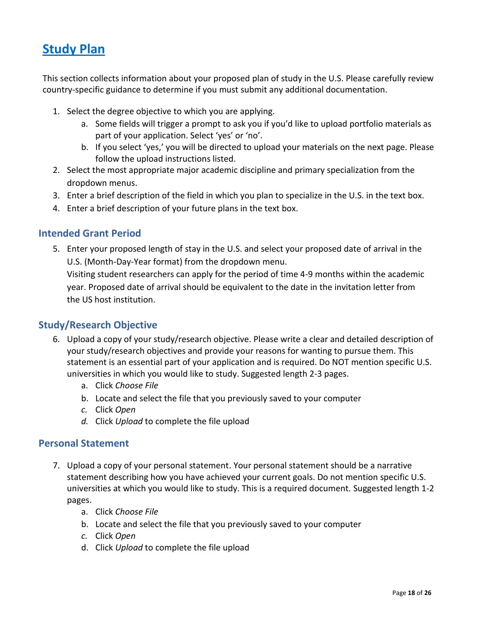## <span id="page-17-0"></span>**Study Plan**

This section collects information about your proposed plan of study in the U.S. Please carefully review country-specific guidance to determine if you must submit any additional documentation.

- 1. Select the degree objective to which you are applying.
	- a. Some fields will trigger a prompt to ask you if you'd like to upload portfolio materials as part of your application. Select 'yes' or 'no'.
	- b. If you select 'yes,' you will be directed to upload your materials on the next page. Please follow the upload instructions listed.
- 2. Select the most appropriate major academic discipline and primary specialization from the dropdown menus.
- 3. Enter a brief description of the field in which you plan to specialize in the U.S. in the text box.
- 4. Enter a brief description of your future plans in the text box.

### <span id="page-17-1"></span>**Intended Grant Period**

5. Enter your proposed length of stay in the U.S. and select your proposed date of arrival in the U.S. (Month-Day-Year format) from the dropdown menu. Visiting student researchers can apply for the period of time 4-9 months within the academic year. Proposed date of arrival should be equivalent to the date in the invitation letter from the US host institution.

### <span id="page-17-2"></span>**Study/Research Objective**

- 6. Upload a copy of your study/research objective. Please write a clear and detailed description of your study/research objectives and provide your reasons for wanting to pursue them. This statement is an essential part of your application and is required. Do NOT mention specific U.S. universities in which you would like to study. Suggested length 2-3 pages.
	- a. Click *Choose File*
	- b. Locate and select the file that you previously saved to your computer
	- *c.* Click *Open*
	- *d.* Click *Upload* to complete the file upload

#### <span id="page-17-3"></span>**Personal Statement**

- 7. Upload a copy of your personal statement. Your personal statement should be a narrative statement describing how you have achieved your current goals. Do not mention specific U.S. universities at which you would like to study. This is a required document. Suggested length 1-2 pages.
	- a. Click *Choose File*
	- b. Locate and select the file that you previously saved to your computer
	- *c.* Click *Open*
	- d. Click *Upload* to complete the file upload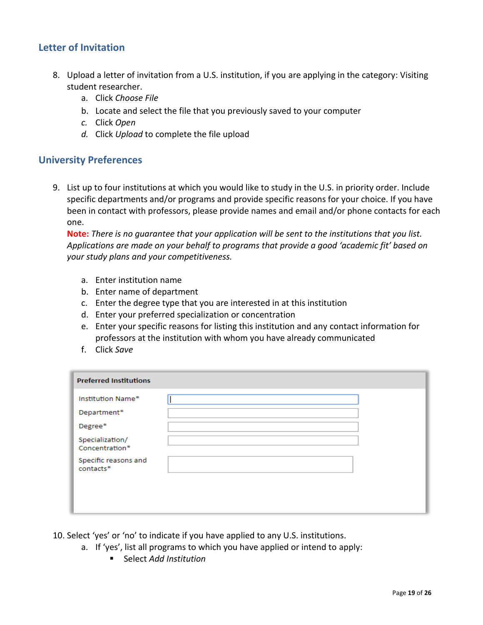### <span id="page-18-0"></span>**Letter of Invitation**

- 8. Upload a letter of invitation from a U.S. institution, if you are applying in the category: Visiting student researcher.
	- a. Click *Choose File*
	- b. Locate and select the file that you previously saved to your computer
	- *c.* Click *Open*
	- *d.* Click *Upload* to complete the file upload

#### <span id="page-18-1"></span>**University Preferences**

9. List up to four institutions at which you would like to study in the U.S. in priority order. Include specific departments and/or programs and provide specific reasons for your choice. If you have been in contact with professors, please provide names and email and/or phone contacts for each one.

**Note:** *There is no guarantee that your application will be sent to the institutions that you list. Applications are made on your behalf to programs that provide a good 'academic fit' based on your study plans and your competitiveness.*

- a. Enter institution name
- b. Enter name of department
- c. Enter the degree type that you are interested in at this institution
- d. Enter your preferred specialization or concentration
- e. Enter your specific reasons for listing this institution and any contact information for professors at the institution with whom you have already communicated
- f. Click *Save*

| <b>Preferred Institutions</b>     |  |
|-----------------------------------|--|
| Institution Name*                 |  |
| Department*                       |  |
| Degree*                           |  |
| Specialization/<br>Concentration* |  |
| Specific reasons and<br>contacts* |  |
|                                   |  |
|                                   |  |
|                                   |  |

- 10. Select 'yes' or 'no' to indicate if you have applied to any U.S. institutions.
	- a. If 'yes', list all programs to which you have applied or intend to apply:
		- Select *Add Institution*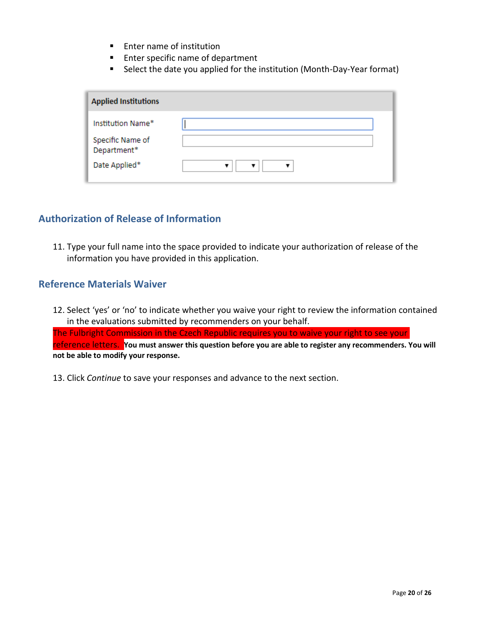- **Enter name of institution**
- **Enter specific name of department**
- Select the date you applied for the institution (Month-Day-Year format)

| <b>Applied Institutions</b>                          |  |
|------------------------------------------------------|--|
| Institution Name*<br>Specific Name of<br>Department* |  |
| Date Applied*                                        |  |

#### <span id="page-19-0"></span>**Authorization of Release of Information**

11. Type your full name into the space provided to indicate your authorization of release of the information you have provided in this application.

#### <span id="page-19-1"></span>**Reference Materials Waiver**

12. Select 'yes' or 'no' to indicate whether you waive your right to review the information contained in the evaluations submitted by recommenders on your behalf. The Fulbright Commission in the Czech Republic requires you to waive your right to see your reference letters. **You must answer this question before you are able to register any recommenders. You will not be able to modify your response.** 

13. Click *Continue* to save your responses and advance to the next section.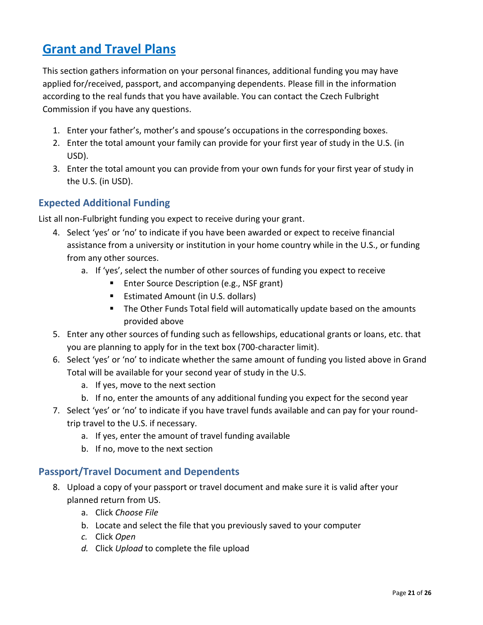# <span id="page-20-0"></span>**Grant and Travel Plans**

This section gathers information on your personal finances, additional funding you may have applied for/received, passport, and accompanying dependents. Please fill in the information according to the real funds that you have available. You can contact the Czech Fulbright Commission if you have any questions.

- 1. Enter your father's, mother's and spouse's occupations in the corresponding boxes.
- 2. Enter the total amount your family can provide for your first year of study in the U.S. (in USD).
- 3. Enter the total amount you can provide from your own funds for your first year of study in the U.S. (in USD).

### <span id="page-20-1"></span>**Expected Additional Funding**

List all non-Fulbright funding you expect to receive during your grant.

- 4. Select 'yes' or 'no' to indicate if you have been awarded or expect to receive financial assistance from a university or institution in your home country while in the U.S., or funding from any other sources.
	- a. If 'yes', select the number of other sources of funding you expect to receive
		- **Enter Source Description (e.g., NSF grant)**
		- **Estimated Amount (in U.S. dollars)**
		- **The Other Funds Total field will automatically update based on the amounts** provided above
- 5. Enter any other sources of funding such as fellowships, educational grants or loans, etc. that you are planning to apply for in the text box (700-character limit).
- 6. Select 'yes' or 'no' to indicate whether the same amount of funding you listed above in Grand Total will be available for your second year of study in the U.S.
	- a. If yes, move to the next section
	- b. If no, enter the amounts of any additional funding you expect for the second year
- 7. Select 'yes' or 'no' to indicate if you have travel funds available and can pay for your roundtrip travel to the U.S. if necessary.
	- a. If yes, enter the amount of travel funding available
	- b. If no, move to the next section

### <span id="page-20-2"></span>**Passport/Travel Document and Dependents**

- 8. Upload a copy of your passport or travel document and make sure it is valid after your planned return from US.
	- a. Click *Choose File*
	- b. Locate and select the file that you previously saved to your computer
	- *c.* Click *Open*
	- *d.* Click *Upload* to complete the file upload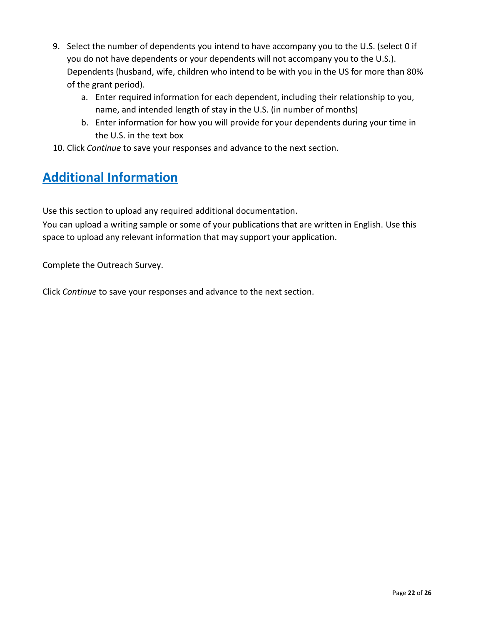- 9. Select the number of dependents you intend to have accompany you to the U.S. (select 0 if you do not have dependents or your dependents will not accompany you to the U.S.). Dependents (husband, wife, children who intend to be with you in the US for more than 80% of the grant period).
	- a. Enter required information for each dependent, including their relationship to you, name, and intended length of stay in the U.S. (in number of months)
	- b. Enter information for how you will provide for your dependents during your time in the U.S. in the text box
- 10. Click *Continue* to save your responses and advance to the next section.

# <span id="page-21-0"></span>**Additional Information**

Use this section to upload any required additional documentation.

You can upload a writing sample or some of your publications that are written in English. Use this space to upload any relevant information that may support your application.

Complete the Outreach Survey.

Click *Continue* to save your responses and advance to the next section.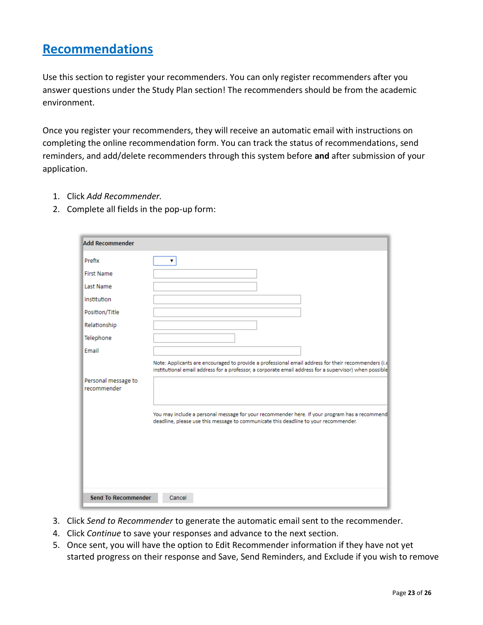## <span id="page-22-0"></span>**Recommendations**

Use this section to register your recommenders. You can only register recommenders after you answer questions under the Study Plan section! The recommenders should be from the academic environment.

Once you register your recommenders, they will receive an automatic email with instructions on completing the online recommendation form. You can track the status of recommendations, send reminders, and add/delete recommenders through this system before **and** after submission of your application.

- 1. Click *Add Recommender.*
- 2. Complete all fields in the pop-up form:

| <b>Add Recommender</b>             |                                                                                                                                                                                                               |
|------------------------------------|---------------------------------------------------------------------------------------------------------------------------------------------------------------------------------------------------------------|
| Prefix                             |                                                                                                                                                                                                               |
| <b>First Name</b>                  |                                                                                                                                                                                                               |
| Last Name                          |                                                                                                                                                                                                               |
| Institution                        |                                                                                                                                                                                                               |
| Position/Title                     |                                                                                                                                                                                                               |
| Relationship                       |                                                                                                                                                                                                               |
| Telephone                          |                                                                                                                                                                                                               |
| Email                              |                                                                                                                                                                                                               |
| Personal message to<br>recommender | Note: Applicants are encouraged to provide a professional email address for their recommenders (i.e<br>institutional email address for a professor, a corporate email address for a supervisor) when possible |
|                                    | You may include a personal message for your recommender here. If your program has a recommend<br>deadline, please use this message to communicate this deadline to your recommender.                          |
| <b>Send To Recommender</b>         | Cancel                                                                                                                                                                                                        |

- 3. Click *Send to Recommender* to generate the automatic email sent to the recommender.
- 4. Click *Continue* to save your responses and advance to the next section.
- 5. Once sent, you will have the option to Edit Recommender information if they have not yet started progress on their response and Save, Send Reminders, and Exclude if you wish to remove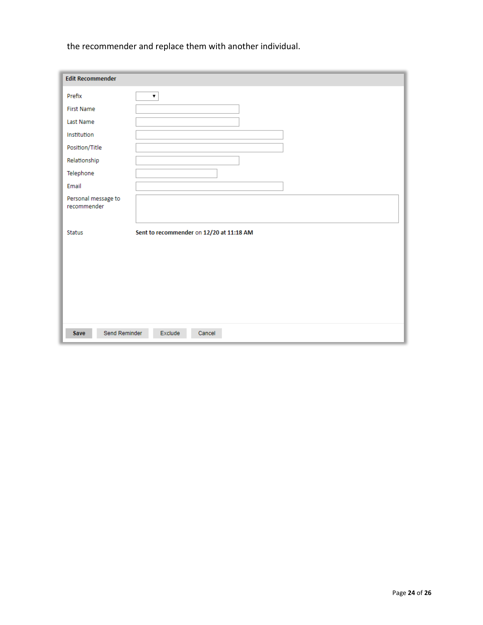the recommender and replace them with another individual.

| <b>Edit Recommender</b>            |                                          |
|------------------------------------|------------------------------------------|
| Prefix                             | $\pmb{\mathrm{v}}$                       |
| <b>First Name</b>                  |                                          |
| Last Name                          |                                          |
| Institution                        |                                          |
| Position/Title                     |                                          |
| Relationship                       |                                          |
| Telephone                          |                                          |
| Email                              |                                          |
| Personal message to<br>recommender |                                          |
| Status                             | Sent to recommender on 12/20 at 11:18 AM |
| Send Reminder<br>Save              | Exclude<br>Cancel                        |